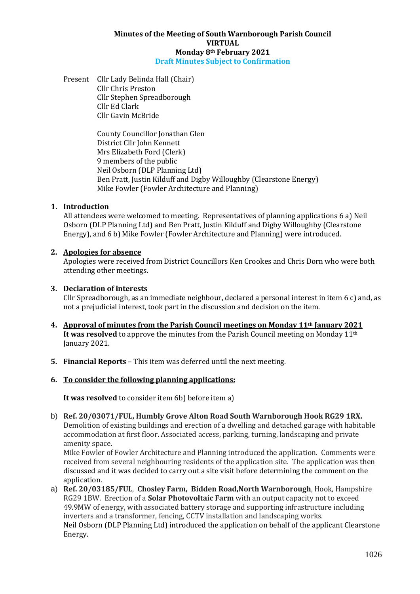### **Minutes of the Meeting of South Warnborough Parish Council VIRTUAL Monday 8th February 2021 Draft Minutes Subject to Confirmation**

Present Cllr Lady Belinda Hall (Chair) Cllr Chris Preston Cllr Stephen Spreadborough Cllr Ed Clark Cllr Gavin McBride

> County Councillor Jonathan Glen District Cllr John Kennett Mrs Elizabeth Ford (Clerk) 9 members of the public Neil Osborn (DLP Planning Ltd) Ben Pratt, Justin Kilduff and Digby Willoughby (Clearstone Energy) Mike Fowler (Fowler Architecture and Planning)

## **1. Introduction**

All attendees were welcomed to meeting. Representatives of planning applications 6 a) Neil Osborn (DLP Planning Ltd) and Ben Pratt, Justin Kilduff and Digby Willoughby (Clearstone Energy), and 6 b) Mike Fowler (Fowler Architecture and Planning) were introduced.

### **2. Apologies for absence**

Apologies were received from District Councillors Ken Crookes and Chris Dorn who were both attending other meetings.

### **3. Declaration of interests**

Cllr Spreadborough, as an immediate neighbour, declared a personal interest in item 6 c) and, as not a prejudicial interest, took part in the discussion and decision on the item.

- **4. Approval of minutes from the Parish Council meetings on Monday 11th January 2021 It was resolved** to approve the minutes from the Parish Council meeting on Monday 11<sup>th</sup> January 2021.
- **5. Financial Reports** This item was deferred until the next meeting.

## **6. To consider the following planning applications:**

**It was resolved** to consider item 6b) before item a)

b) **Ref. 20/03071/FUL, Humbly Grove Alton Road South Warnborough Hook RG29 1RX.**  Demolition of existing buildings and erection of a dwelling and detached garage with habitable accommodation at first floor. Associated access, parking, turning, landscaping and private amenity space.

Mike Fowler of Fowler Architecture and Planning introduced the application. Comments were received from several neighbouring residents of the application site. The application was then discussed and it was decided to carry out a site visit before determining the comment on the application.

a) **Ref. 20/03185/FUL**, **Chosley Farm, Bidden Road,North Warnborough**, Hook, Hampshire RG29 1BW. Erection of a **Solar Photovoltaic Farm** with an output capacity not to exceed 49.9MW of energy, with associated battery storage and supporting infrastructure including inverters and a transformer, fencing, CCTV installation and landscaping works. Neil Osborn (DLP Planning Ltd) introduced the application on behalf of the applicant Clearstone Energy.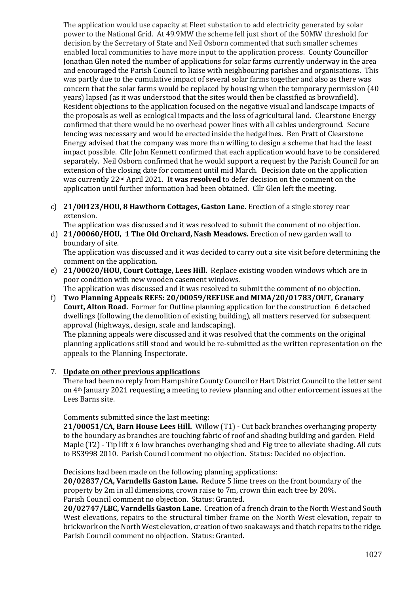The application would use capacity at Fleet substation to add electricity generated by solar power to the National Grid. At 49.9MW the scheme fell just short of the 50MW threshold for decision by the Secretary of State and Neil Osborn commented that such smaller schemes enabled local communities to have more input to the application process. County Councillor Jonathan Glen noted the number of applications for solar farms currently underway in the area and encouraged the Parish Council to liaise with neighbouring parishes and organisations. This was partly due to the cumulative impact of several solar farms together and also as there was concern that the solar farms would be replaced by housing when the temporary permission (40 years) lapsed (as it was understood that the sites would then be classified as brownfield). Resident objections to the application focused on the negative visual and landscape impacts of the proposals as well as ecological impacts and the loss of agricultural land. Clearstone Energy confirmed that there would be no overhead power lines with all cables underground. Secure fencing was necessary and would be erected inside the hedgelines. Ben Pratt of Clearstone Energy advised that the company was more than willing to design a scheme that had the least impact possible. Cllr John Kennett confirmed that each application would have to be considered separately. Neil Osborn confirmed that he would support a request by the Parish Council for an extension of the closing date for comment until mid March. Decision date on the application was currently 22nd April 2021. **It was resolved** to defer decision on the comment on the application until further information had been obtained. Cllr Glen left the meeting.

c) **21/00123/HOU, 8 Hawthorn Cottages, Gaston Lane.** Erection of a single storey rear extension.

The application was discussed and it was resolved to submit the comment of no objection.

## d) **21/00060/HOU, 1 The Old Orchard, Nash Meadows.** Erection of new garden wall to boundary of site.

The application was discussed and it was decided to carry out a site visit before determining the comment on the application.

e) **21/00020/HOU, Court Cottage, Lees Hill.** Replace existing wooden windows which are in poor condition with new wooden casement windows.

The application was discussed and it was resolved to submit the comment of no objection.

f) **Two Planning Appeals REFS: 20/00059/REFUSE and MIMA/20/01783/OUT, Granary Court, Alton Road.** Former for Outline planning application for the construction 6 detached dwellings (following the demolition of existing building), all matters reserved for subsequent approval (highways,, design, scale and landscaping).

The planning appeals were discussed and it was resolved that the comments on the original planning applications still stood and would be re-submitted as the written representation on the appeals to the Planning Inspectorate.

# 7. **Update on other previous applications**

There had been no reply from Hampshire County Council or Hart District Council to the letter sent on 4th January 2021 requesting a meeting to review planning and other enforcement issues at the Lees Barns site.

Comments submitted since the last meeting:

**21/00051/CA, Barn House Lees Hill.** Willow (T1) - Cut back branches overhanging property to the boundary as branches are touching fabric of roof and shading building and garden. Field Maple (T2) - Tip lift x 6 low branches overhanging shed and Fig tree to alleviate shading. All cuts to BS3998 2010. Parish Council comment no objection. Status: Decided no objection.

Decisions had been made on the following planning applications:

**20/02837/CA, Varndells Gaston Lane.** Reduce 5 lime trees on the front boundary of the property by 2m in all dimensions, crown raise to 7m, crown thin each tree by 20%. Parish Council comment no objection. Status: Granted.

**20/02747/LBC, Varndells Gaston Lane.** Creation of a french drain to the North West and South West elevations, repairs to the structural timber frame on the North West elevation, repair to brickwork on the North West elevation, creation of two soakaways and thatch repairs to the ridge. Parish Council comment no objection. Status: Granted.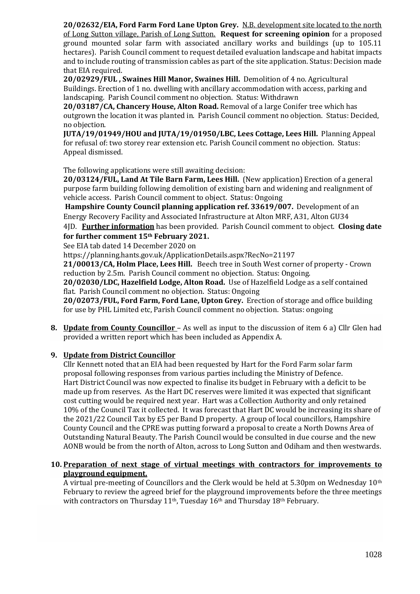**20/02632/EIA, Ford Farm Ford Lane Upton Grey.** N.B. development site located to the north of Long Sutton village, Parish of Long Sutton. **Request for screening opinion** for a proposed ground mounted solar farm with associated ancillary works and buildings (up to 105.11 hectares). Parish Council comment to request detailed evaluation landscape and habitat impacts and to include routing of transmission cables as part of the site application. Status: Decision made that EIA required.

**20/02929/FUL , Swaines Hill Manor, Swaines Hill.** Demolition of 4 no. Agricultural Buildings. Erection of 1 no. dwelling with ancillary accommodation with access, parking and landscaping. Parish Council comment no objection. Status: Withdrawn

**20/03187/CA, Chancery House, Alton Road.** Removal of a large Conifer tree which has outgrown the location it was planted in. Parish Council comment no objection. Status: Decided, no objection.

**JUTA/19/01949/HOU and JUTA/19/01950/LBC, Lees Cottage, Lees Hill.** Planning Appeal for refusal of: two storey rear extension etc. Parish Council comment no objection. Status: Appeal dismissed.

The following applications were still awaiting decision:

**20/03124/FUL, Land At Tile Barn Farm, Lees Hill.** (New application) Erection of a general purpose farm building following demolition of existing barn and widening and realignment of vehicle access. Parish Council comment to object. Status: Ongoing

**Hampshire County Council planning application ref. 33619/007.** Development of an Energy Recovery Facility and Associated Infrastructure at Alton MRF, A31, Alton GU34

4JD. **Further information** has been provided. Parish Council comment to object. **Closing date for further comment 15th February 2021.**

See EIA tab dated 14 December 2020 on

https://planning.hants.gov.uk/ApplicationDetails.aspx?RecNo=21197

**21/00013/CA, Holm Place, Lees Hill.** Beech tree in South West corner of property - Crown reduction by 2.5m. Parish Council comment no objection. Status: Ongoing.

**20/02030/LDC, Hazelfield Lodge, Alton Road.** Use of Hazelfield Lodge as a self contained flat. Parish Council comment no objection. Status: Ongoing

**20/02073/FUL, Ford Farm, Ford Lane, Upton Grey.** Erection of storage and office building for use by PHL Limited etc, Parish Council comment no objection. Status: ongoing

**8. Update from County Councillor** – As well as input to the discussion of item 6 a) Cllr Glen had provided a written report which has been included as Appendix A.

# **9. Update from District Councillor**

Cllr Kennett noted that an EIA had been requested by Hart for the Ford Farm solar farm proposal following responses from various parties including the Ministry of Defence. Hart District Council was now expected to finalise its budget in February with a deficit to be made up from reserves. As the Hart DC reserves were limited it was expected that significant cost cutting would be required next year. Hart was a Collection Authority and only retained 10% of the Council Tax it collected. It was forecast that Hart DC would be increasing its share of the 2021/22 Council Tax by £5 per Band D property. A group of local councillors, Hampshire County Council and the CPRE was putting forward a proposal to create a North Downs Area of Outstanding Natural Beauty. The Parish Council would be consulted in due course and the new AONB would be from the north of Alton, across to Long Sutton and Odiham and then westwards.

## **10. Preparation of next stage of virtual meetings with contractors for improvements to playground equipment.**

A virtual pre-meeting of Councillors and the Clerk would be held at 5.30pm on Wednesday 10th February to review the agreed brief for the playground improvements before the three meetings with contractors on Thursday 11<sup>th</sup>, Tuesday 16<sup>th</sup> and Thursday 18<sup>th</sup> February.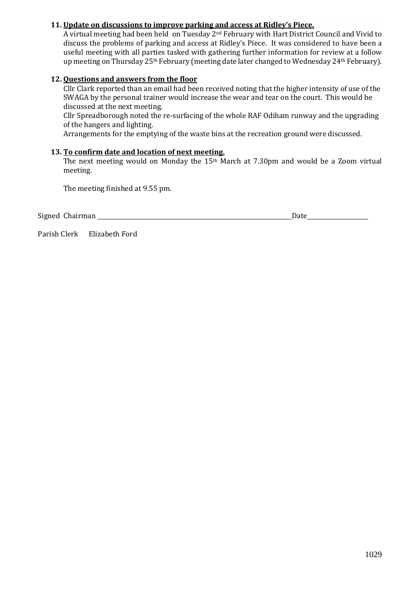## **11. Update on discussions to improve parking and access at Ridley's Piece.**

A virtual meeting had been held on Tuesday 2nd February with Hart District Council and Vivid to discuss the problems of parking and access at Ridley's Piece. It was considered to have been a useful meeting with all parties tasked with gathering further information for review at a follow up meeting on Thursday 25<sup>th</sup> February (meeting date later changed to Wednesday 24<sup>th</sup> February).

## **12. Questions and answers from the floor**

Cllr Clark reported than an email had been received noting that the higher intensity of use of the SWAGA by the personal trainer would increase the wear and tear on the court. This would be discussed at the next meeting.

Cllr Spreadborough noted the re-surfacing of the whole RAF Odiham runway and the upgrading of the hangers and lighting.

Arrangements for the emptying of the waste bins at the recreation ground were discussed.

## **13. To confirm date and location of next meeting.**

The next meeting would on Monday the 15th March at 7.30pm and would be a Zoom virtual meeting.

The meeting finished at 9.55 pm.

Signed Chairman Date

Parish Clerk Elizabeth Ford